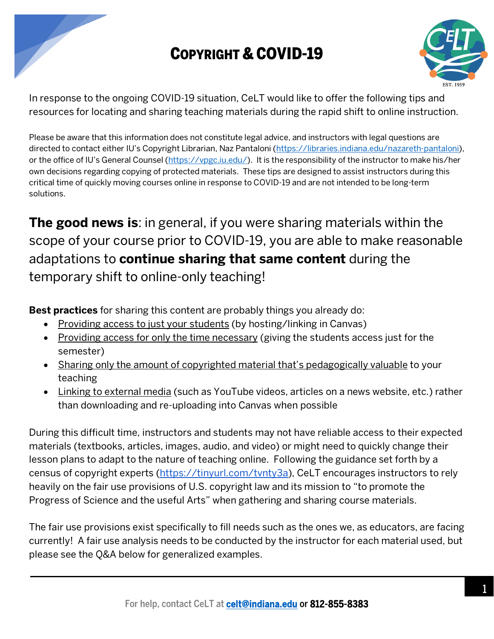

## COPYRIGHT & COVID-19



In response to the ongoing COVID-19 situation, CeLT would like to offer the following tips and resources for locating and sharing teaching materials during the rapid shift to online instruction.

Please be aware that this information does not constitute legal advice, and instructors with legal questions are directed to contact either IU's Copyright Librarian, Naz Pantaloni (https://libraries.indiana.edu/nazareth-pantaloni), or the office of IU's General Counsel (https://vpgc.iu.edu/). It is the responsibility of the instructor to make his/her own decisions regarding copying of protected materials. These tips are designed to assist instructors during this critical time of quickly moving courses online in response to COVID-19 and are not intended to be long-term solutions.

**The good news is**: in general, if you were sharing materials within the scope of your course prior to COVID-19, you are able to make reasonable adaptations to **continue sharing that same content** during the temporary shift to online-only teaching!

**Best practices** for sharing this content are probably things you already do:

- Providing access to just your students (by hosting/linking in Canvas)
- Providing access for only the time necessary (giving the students access just for the semester)
- Sharing only the amount of copyrighted material that's pedagogically valuable to your teaching
- Linking to external media (such as YouTube videos, articles on a news website, etc.) rather than downloading and re-uploading into Canvas when possible

During this difficult time, instructors and students may not have reliable access to their expected materials (textbooks, articles, images, audio, and video) or might need to quickly change their lesson plans to adapt to the nature of teaching online. Following the guidance set forth by a census of copyright experts (https://tinyurl.com/tvnty3a), CeLT encourages instructors to rely heavily on the fair use provisions of U.S. copyright law and its mission to "to promote the Progress of Science and the useful Arts" when gathering and sharing course materials.

The fair use provisions exist specifically to fill needs such as the ones we, as educators, are facing currently! A fair use analysis needs to be conducted by the instructor for each material used, but please see the Q&A below for generalized examples.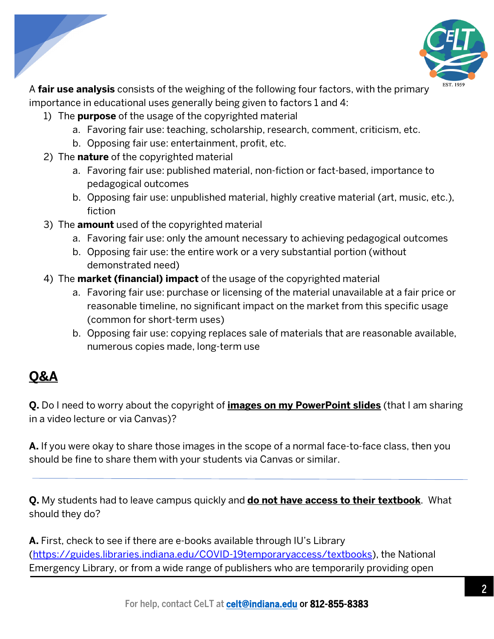

A **fair use analysis** consists of the weighing of the following four factors, with the primary importance in educational uses generally being given to factors 1 and 4:

- 1) The **purpose** of the usage of the copyrighted material
	- a. Favoring fair use: teaching, scholarship, research, comment, criticism, etc.
	- b. Opposing fair use: entertainment, profit, etc.
- 2) The **nature** of the copyrighted material
	- a. Favoring fair use: published material, non-fiction or fact-based, importance to pedagogical outcomes
	- b. Opposing fair use: unpublished material, highly creative material (art, music, etc.), fiction
- 3) The **amount** used of the copyrighted material
	- a. Favoring fair use: only the amount necessary to achieving pedagogical outcomes
	- b. Opposing fair use: the entire work or a very substantial portion (without demonstrated need)
- 4) The **market (financial) impact** of the usage of the copyrighted material
	- a. Favoring fair use: purchase or licensing of the material unavailable at a fair price or reasonable timeline, no significant impact on the market from this specific usage (common for short-term uses)
	- b. Opposing fair use: copying replaces sale of materials that are reasonable available, numerous copies made, long-term use

## **Q&A**

**Q.** Do I need to worry about the copyright of **images on my PowerPoint slides** (that I am sharing in a video lecture or via Canvas)?

**A.** If you were okay to share those images in the scope of a normal face-to-face class, then you should be fine to share them with your students via Canvas or similar.

**Q.** My students had to leave campus quickly and **do not have access to their textbook**. What should they do?

**A.** First, check to see if there are e-books available through IU's Library (https://guides.libraries.indiana.edu/COVID-19temporaryaccess/textbooks), the National Emergency Library, or from a wide range of publishers who are temporarily providing open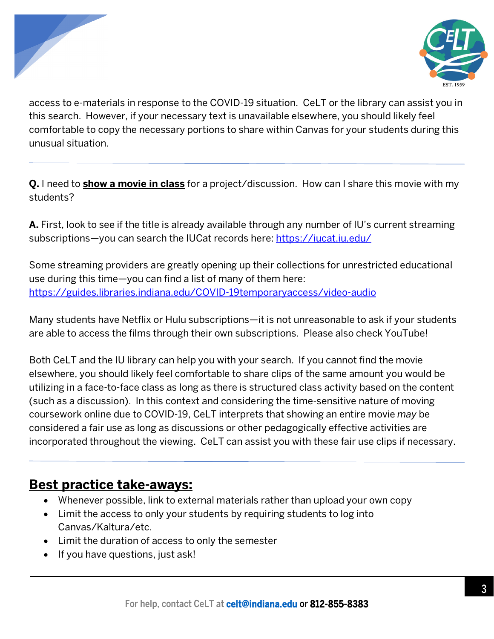



access to e-materials in response to the COVID-19 situation. CeLT or the library can assist you in this search. However, if your necessary text is unavailable elsewhere, you should likely feel comfortable to copy the necessary portions to share within Canvas for your students during this unusual situation.

**Q.** I need to **show a movie in class** for a project/discussion. How can I share this movie with my students?

**A.** First, look to see if the title is already available through any number of IU's current streaming subscriptions—you can search the IUCat records here: https://iucat.iu.edu/

Some streaming providers are greatly opening up their collections for unrestricted educational use during this time—you can find a list of many of them here: https://guides.libraries.indiana.edu/COVID-19temporaryaccess/video-audio

Many students have Netflix or Hulu subscriptions—it is not unreasonable to ask if your students are able to access the films through their own subscriptions. Please also check YouTube!

Both CeLT and the IU library can help you with your search. If you cannot find the movie elsewhere, you should likely feel comfortable to share clips of the same amount you would be utilizing in a face-to-face class as long as there is structured class activity based on the content (such as a discussion). In this context and considering the time-sensitive nature of moving coursework online due to COVID-19, CeLT interprets that showing an entire movie *may* be considered a fair use as long as discussions or other pedagogically effective activities are incorporated throughout the viewing. CeLT can assist you with these fair use clips if necessary.

## **Best practice take-aways:**

- Whenever possible, link to external materials rather than upload your own copy
- Limit the access to only your students by requiring students to log into Canvas/Kaltura/etc.
- Limit the duration of access to only the semester
- If you have questions, just ask!